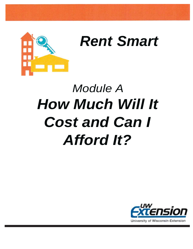

# *Rent Smart*

# *Module A How Much Will It Cost and Can I Afford It?*

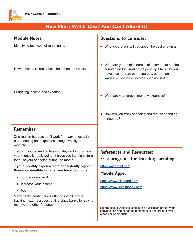

# **How Much Will It Cost? And Can I Afford It?**

| <b>Module Notes:</b>                                                                                                                                           | <b>Questions to Consider:</b>                                                                                                                                                                |
|----------------------------------------------------------------------------------------------------------------------------------------------------------------|----------------------------------------------------------------------------------------------------------------------------------------------------------------------------------------------|
| Identifying total cost of rental units.                                                                                                                        | What do the ads tell you about the cost of a unit?                                                                                                                                           |
| How to compare rental units based on total costs.                                                                                                              | What are your main sources of income that can be<br>counted on for Creating a Spending Plan? Do you<br>have income from other sources, other than<br>wages, or non-cash income such as SNAP. |
| Budgeting income and expense.                                                                                                                                  | What are your largest monthly expenses?                                                                                                                                                      |
|                                                                                                                                                                | How will you track spending and reduce spending<br>if needed?                                                                                                                                |
| <b>Remember:</b>                                                                                                                                               |                                                                                                                                                                                              |
| One reason budgets don't work for many of us is that<br>our spending and expenses change weekly or<br>monthly.                                                 |                                                                                                                                                                                              |
| Tracking your spending lets you stay on top of where<br>your money is really going. It gives you the big picture<br>for all of your spending during the month. | <b>References and Resources:</b><br>Free programs for tracking spending:                                                                                                                     |
| If your monthly expenses are consistently higher<br>than your monthly income, you have 3 options:                                                              | http://www.mint.com                                                                                                                                                                          |
| cut back on spending                                                                                                                                           | <b>Mobile Apps:</b>                                                                                                                                                                          |
| increase your income                                                                                                                                           | https://www.billguard.com<br>https://www.levelmoney.com                                                                                                                                      |
| both                                                                                                                                                           |                                                                                                                                                                                              |
| Many banks/credit unions offer online bill paying,<br>tracking, text messages, online piggy banks for saving<br>money, and other features.                     |                                                                                                                                                                                              |

References to websites used in this publication are for your convenience and not an endorsement of one product over other similar products.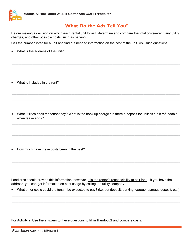

## **What Do the Ads Tell You?**

Before making a decision on which each rental unit to visit, determine and compare the total costs—rent, any utility charges, and other possible costs, such as parking.

\_\_\_\_\_\_\_\_\_\_\_\_\_\_\_\_\_\_\_\_\_\_\_\_\_\_\_\_\_\_\_\_\_\_\_\_\_\_\_\_\_\_\_\_\_\_\_\_\_\_\_\_\_\_\_\_\_\_\_\_\_\_\_\_\_\_\_\_\_\_\_\_\_\_\_\_\_\_\_\_\_\_\_\_\_\_\_\_\_\_\_\_\_\_\_\_\_\_\_\_\_\_\_\_\_\_\_ \_\_\_\_\_\_\_\_\_\_\_\_\_\_\_\_\_\_\_\_\_\_\_\_\_\_\_\_\_\_\_\_\_\_\_\_\_\_\_\_\_\_\_\_\_\_\_\_\_\_\_\_\_\_\_\_\_\_\_\_\_\_\_\_\_\_\_\_\_\_\_\_\_\_\_\_\_\_\_\_\_\_\_\_\_\_\_\_\_\_\_\_\_\_\_\_\_\_\_\_\_\_\_\_\_\_\_ \_\_\_\_\_\_\_\_\_\_\_\_\_\_\_\_\_\_\_\_\_\_\_\_\_\_\_\_\_\_\_\_\_\_\_\_\_\_\_\_\_\_\_\_\_\_\_\_\_\_\_\_\_\_\_\_\_\_\_\_\_\_\_\_\_\_\_\_\_\_\_\_\_\_\_\_\_\_\_\_\_\_\_\_\_\_\_\_\_\_\_\_\_\_\_\_\_\_\_\_\_\_\_\_\_\_\_

\_\_\_\_\_\_\_\_\_\_\_\_\_\_\_\_\_\_\_\_\_\_\_\_\_\_\_\_\_\_\_\_\_\_\_\_\_\_\_\_\_\_\_\_\_\_\_\_\_\_\_\_\_\_\_\_\_\_\_\_\_\_\_\_\_\_\_\_\_\_\_\_\_\_\_\_\_\_\_\_\_\_\_\_\_\_\_\_\_\_\_\_\_\_\_\_\_\_\_\_\_\_\_\_\_\_\_ \_\_\_\_\_\_\_\_\_\_\_\_\_\_\_\_\_\_\_\_\_\_\_\_\_\_\_\_\_\_\_\_\_\_\_\_\_\_\_\_\_\_\_\_\_\_\_\_\_\_\_\_\_\_\_\_\_\_\_\_\_\_\_\_\_\_\_\_\_\_\_\_\_\_\_\_\_\_\_\_\_\_\_\_\_\_\_\_\_\_\_\_\_\_\_\_\_\_\_\_\_\_\_\_\_\_\_ \_\_\_\_\_\_\_\_\_\_\_\_\_\_\_\_\_\_\_\_\_\_\_\_\_\_\_\_\_\_\_\_\_\_\_\_\_\_\_\_\_\_\_\_\_\_\_\_\_\_\_\_\_\_\_\_\_\_\_\_\_\_\_\_\_\_\_\_\_\_\_\_\_\_\_\_\_\_\_\_\_\_\_\_\_\_\_\_\_\_\_\_\_\_\_\_\_\_\_\_\_\_\_\_\_\_\_

Call the number listed for a unit and find out needed information on the cost of the unit. Ask such questions:

 $\bullet$  What is the address of the unit?

What is included in the rent?

• What utilities does the tenant pay? What is the hook-up charge? Is there a deposit for utilities? Is it refundable when lease ends?

\_\_\_\_\_\_\_\_\_\_\_\_\_\_\_\_\_\_\_\_\_\_\_\_\_\_\_\_\_\_\_\_\_\_\_\_\_\_\_\_\_\_\_\_\_\_\_\_\_\_\_\_\_\_\_\_\_\_\_\_\_\_\_\_\_\_\_\_\_\_\_\_\_\_\_\_\_\_\_\_\_\_\_\_\_\_\_\_\_\_\_\_\_\_\_\_\_\_\_\_\_\_\_\_\_\_\_ \_\_\_\_\_\_\_\_\_\_\_\_\_\_\_\_\_\_\_\_\_\_\_\_\_\_\_\_\_\_\_\_\_\_\_\_\_\_\_\_\_\_\_\_\_\_\_\_\_\_\_\_\_\_\_\_\_\_\_\_\_\_\_\_\_\_\_\_\_\_\_\_\_\_\_\_\_\_\_\_\_\_\_\_\_\_\_\_\_\_\_\_\_\_\_\_\_\_\_\_\_\_\_\_\_\_\_ \_\_\_\_\_\_\_\_\_\_\_\_\_\_\_\_\_\_\_\_\_\_\_\_\_\_\_\_\_\_\_\_\_\_\_\_\_\_\_\_\_\_\_\_\_\_\_\_\_\_\_\_\_\_\_\_\_\_\_\_\_\_\_\_\_\_\_\_\_\_\_\_\_\_\_\_\_\_\_\_\_\_\_\_\_\_\_\_\_\_\_\_\_\_\_\_\_\_\_\_\_\_\_\_\_\_\_

\_\_\_\_\_\_\_\_\_\_\_\_\_\_\_\_\_\_\_\_\_\_\_\_\_\_\_\_\_\_\_\_\_\_\_\_\_\_\_\_\_\_\_\_\_\_\_\_\_\_\_\_\_\_\_\_\_\_\_\_\_\_\_\_\_\_\_\_\_\_\_\_\_\_\_\_\_\_\_\_\_\_\_\_\_\_\_\_\_\_\_\_\_\_\_\_\_\_\_\_\_\_\_\_\_\_\_ \_\_\_\_\_\_\_\_\_\_\_\_\_\_\_\_\_\_\_\_\_\_\_\_\_\_\_\_\_\_\_\_\_\_\_\_\_\_\_\_\_\_\_\_\_\_\_\_\_\_\_\_\_\_\_\_\_\_\_\_\_\_\_\_\_\_\_\_\_\_\_\_\_\_\_\_\_\_\_\_\_\_\_\_\_\_\_\_\_\_\_\_\_\_\_\_\_\_\_\_\_\_\_\_\_\_\_ \_\_\_\_\_\_\_\_\_\_\_\_\_\_\_\_\_\_\_\_\_\_\_\_\_\_\_\_\_\_\_\_\_\_\_\_\_\_\_\_\_\_\_\_\_\_\_\_\_\_\_\_\_\_\_\_\_\_\_\_\_\_\_\_\_\_\_\_\_\_\_\_\_\_\_\_\_\_\_\_\_\_\_\_\_\_\_\_\_\_\_\_\_\_\_\_\_\_\_\_\_\_\_\_\_\_\_

• How much have these costs been in the past?

Landlords should provide this information; however, it is the renter's responsibility to ask for it. If you have the address, you can get information on past usage by calling the utility company.

• What other costs could the tenant be expected to pay? (i.e. pet deposit, parking, garage, damage deposit, etc.) \_\_\_\_\_\_\_\_\_\_\_\_\_\_\_\_\_\_\_\_\_\_\_\_\_\_\_\_\_\_\_\_\_\_\_\_\_\_\_\_\_\_\_\_\_\_\_\_\_\_\_\_\_\_\_\_\_\_\_\_\_\_\_\_\_\_\_\_\_\_\_\_\_\_\_\_\_\_\_\_\_\_\_\_\_\_\_\_\_\_\_\_\_\_\_\_\_\_\_\_\_\_\_\_\_\_\_

\_\_\_\_\_\_\_\_\_\_\_\_\_\_\_\_\_\_\_\_\_\_\_\_\_\_\_\_\_\_\_\_\_\_\_\_\_\_\_\_\_\_\_\_\_\_\_\_\_\_\_\_\_\_\_\_\_\_\_\_\_\_\_\_\_\_\_\_\_\_\_\_\_\_\_\_\_\_\_\_\_\_\_\_\_\_\_\_\_\_\_\_\_\_\_\_\_\_\_\_\_\_\_\_\_\_\_ \_\_\_\_\_\_\_\_\_\_\_\_\_\_\_\_\_\_\_\_\_\_\_\_\_\_\_\_\_\_\_\_\_\_\_\_\_\_\_\_\_\_\_\_\_\_\_\_\_\_\_\_\_\_\_\_\_\_\_\_\_\_\_\_\_\_\_\_\_\_\_\_\_\_\_\_\_\_\_\_\_\_\_\_\_\_\_\_\_\_\_\_\_\_\_\_\_\_\_\_\_\_\_\_\_\_\_

For Activity 2: Use the answers to these questions to fill in **Handout 2** and compare costs.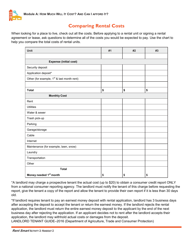

# **Comparing Rental Costs**

When looking for a place to live, check out all the costs. Before applying to a rental unit or signing a rental agreement or lease, ask questions to determine all of the costs you would be expected to pay. Use the chart to help you compare the total costs of rental units.

| Unit                                                   | #1 | #2 | #3 |  |  |  |  |
|--------------------------------------------------------|----|----|----|--|--|--|--|
|                                                        |    |    |    |  |  |  |  |
| <b>Expense (initial cost)</b>                          |    |    |    |  |  |  |  |
| Security deposit                                       |    |    |    |  |  |  |  |
| Application deposit*                                   |    |    |    |  |  |  |  |
| Other (for example, 1 <sup>st</sup> & last month rent) |    |    |    |  |  |  |  |
|                                                        |    |    |    |  |  |  |  |
| <b>Total</b>                                           | \$ | \$ | \$ |  |  |  |  |
| <b>Monthly Cost</b>                                    |    |    |    |  |  |  |  |
| Rent                                                   |    |    |    |  |  |  |  |
| <b>Utilities</b>                                       |    |    |    |  |  |  |  |
| Water & sewer                                          |    |    |    |  |  |  |  |
| Trash pick-up                                          |    |    |    |  |  |  |  |
| Parking                                                |    |    |    |  |  |  |  |
| Garage/storage                                         |    |    |    |  |  |  |  |
| Cable                                                  |    |    |    |  |  |  |  |
| Internet                                               |    |    |    |  |  |  |  |
| Maintenance (for example, lawn, snow)                  |    |    |    |  |  |  |  |
| Laundry                                                |    |    |    |  |  |  |  |
| Transportation                                         |    |    |    |  |  |  |  |
| Other                                                  |    |    |    |  |  |  |  |
| <b>Total</b>                                           |    |    |    |  |  |  |  |
| Money needed 1st month                                 | \$ | \$ | \$ |  |  |  |  |

\*A landlord may charge a prospective tenant the actual cost (up to \$20) to obtain a consumer credit report ONLY from a national consumer reporting agency. The landlord must notify the tenant of this charge before requesting the report, give the tenant a copy of the report and allow the tenant to provide their own report if it is less than 30 days old.

\*If landlord requires tenant to pay an earnest money deposit with rental application, landlord has 3 business days after accepting the deposit to accept the tenant or return the earnest money. If the landlord rejects the rental application, the landlord must return the entire earnest money deposit to the applicant by the end of the next business day after rejecting the application. If an applicant decides not to rent after the landlord accepts their application, the landlord may withhold actual costs or damages from the deposit.

LANDLORD TENANT GUIDE–2016 (Department of Agriculture, Trade and Consumer Protection)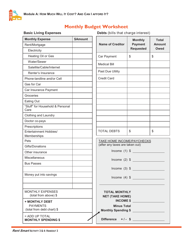

# **Monthly Budget Worksheet**

**Basic Living Expenses** Debts (bills that charge interest)

**Total Amount Owed**

| <b>Monthly Expense</b>                                          | <b>\$Amount</b> |                                                                      |    |
|-----------------------------------------------------------------|-----------------|----------------------------------------------------------------------|----|
| Rent/Mortgage                                                   |                 | <b>Name of Creditor</b>                                              |    |
| Electricity                                                     |                 |                                                                      |    |
| Heating Oil or Gas                                              |                 | Car Payment                                                          | \$ |
| Water/Sewer                                                     |                 | <b>Medical Bill</b>                                                  |    |
| Satellite/Cable/Internet                                        |                 |                                                                      |    |
| Renter's Insurance                                              |                 | Past Due Utility                                                     |    |
| Phone-landline and/or Cell                                      |                 | <b>Credit Card</b>                                                   |    |
| Gas for Car                                                     |                 |                                                                      |    |
| Car Insurance Payment                                           |                 |                                                                      |    |
| Groceries                                                       |                 |                                                                      |    |
| Eating Out                                                      |                 |                                                                      |    |
| "Stuff" for Household & Personal<br>Care                        |                 |                                                                      |    |
| <b>Clothing and Laundry</b>                                     |                 |                                                                      |    |
| Doctor co-pays                                                  |                 |                                                                      |    |
| Prescriptions                                                   |                 |                                                                      |    |
| Entertainment Hobbies/<br>Memberships                           |                 | <b>TOTAL DEBTS</b>                                                   | \$ |
| Pets                                                            |                 | TAKE HOME INCOME/PAYCHECKS                                           |    |
| Gifts/Donations                                                 |                 | (after any taxes are taken out)                                      |    |
| Other insurance                                                 |                 | Income $(1)$ \$                                                      |    |
| Miscellaneous                                                   |                 | Income $(2)$ \$                                                      |    |
| <b>Bus Passes</b>                                               |                 |                                                                      |    |
|                                                                 |                 | Income $(3)$ \$                                                      |    |
| Money put into savings                                          |                 |                                                                      |    |
|                                                                 |                 | Income $(4)$ \$                                                      |    |
| <b>MONTHLY EXPENSES</b><br>(total from above) \$                |                 | <b>TOTAL MONTHLY</b><br><b>NET (TAKE HOME)</b>                       |    |
| + MONTHLY DEBT<br><b>PAYMENTS</b><br>(total from debt chart) \$ |                 | <b>INCOME \$</b><br><b>Minus Total</b><br><b>Monthly Spending \$</b> |    |
| = ADD UP TOTAL<br><b>MONTHLY SPENDING \$</b>                    |                 | Difference $+/-$ \$                                                  |    |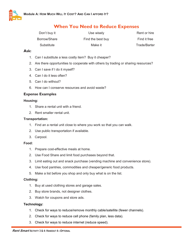

## **When You Need to Reduce Expenses**

| Don't buy it | Use wisely        | Rent or hire |
|--------------|-------------------|--------------|
| Borrow/Share | Find the best buy | Find it free |
| Substitute   | Make it           | Trade/Barter |

#### **Ask:**

- 1. Can I substitute a less costly item? Buy it cheaper?
- 2. Are there opportunities to cooperate with others by trading or sharing resources?
- 3. Can I save if I do it myself?
- 4. Can I do it less often?
- 5. Can I do without?
- 6. How can I conserve resources and avoid waste?

#### **Expense Examples**

#### **Housing:**

- 1. Share a rental unit with a friend.
- 2. Rent smaller rental unit.

#### **Transportation:**

- 1. Find an a rental unit close to where you work so that you can walk.
- 2. Use public transportation if available.
- 3. Carpool.

#### **Food:**

- 1. Prepare cost-effective meals at home.
- 2. Use Food Share and limit food purchases beyond that.
- 3. Limit eating out and snack purchase (vending machine and convenience store).
- 4. Use food pantries, commodities and cheaper/generic food products.
- 5. Make a list before you shop and only buy what is on the list.

#### **Clothing:**

- 1. Buy at used clothing stores and garage sales.
- 2. Buy store brands, not designer clothes.
- 3. Watch for coupons and store ads.

#### **Technology:**

- 1. Check for ways to reduce/remove monthly cable/satellite (fewer channels).
- 2. Check for ways to reduce cell phone (family plan, less data).
- 3. Check for ways to reduce internet (reduce speed).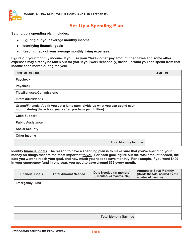

# **Set Up a Spending Plan**

**Setting up a spending plan includes:** 

- **Figuring out your average monthly income**
- **Identifying financial goals**   $\bullet$
- $\bullet$ **Keeping track of your average monthly living expenses**

**Figure out your monthly income. If you use your "take-home" pay amount, then taxes and some other expenses may already be taken out for you. If you work seasonally, divide up what you can spend from that income each month during the year.** 

| <b>INCOME SOURCE</b>                                                                                                                          | <b>AMOUNT</b> |
|-----------------------------------------------------------------------------------------------------------------------------------------------|---------------|
| Paycheck                                                                                                                                      |               |
| Paycheck                                                                                                                                      |               |
| <b>Tips/Bonuses/Commissions</b>                                                                                                               |               |
| Interest/Dividends                                                                                                                            |               |
| Grants/Financial Aid (If you get a lump sum, divide up what you can spend each<br>month during the school year - after you have paid tuition) |               |
| <b>Child Support</b>                                                                                                                          |               |
| <b>Public Assistance</b>                                                                                                                      |               |
| <b>Social Security</b>                                                                                                                        |               |
| <b>Other Income</b>                                                                                                                           |               |
| <b>Total Monthly Income</b>                                                                                                                   |               |

**Identify financial goals. The reason to have a spending plan is to make sure that you're spending your money on things that are the most important to you. For each goal, figure out the total amount needed, the date you want to reach your goal, and how much you need to save monthly. For example, if you want \$400 in your emergency fund in one year, you need to save around \$33 every month.**

| <b>Financial Goals</b> | <b>Total Amount Needed</b>   | Date Needed (in months)<br>(6 months, 24 months, etc.) | <b>Amount to Save Monthly</b><br>(Divide the total needed by the<br>number of months) |
|------------------------|------------------------------|--------------------------------------------------------|---------------------------------------------------------------------------------------|
| <b>Emergency Fund</b>  |                              |                                                        |                                                                                       |
|                        |                              |                                                        |                                                                                       |
|                        |                              |                                                        |                                                                                       |
|                        |                              |                                                        |                                                                                       |
|                        |                              |                                                        |                                                                                       |
|                        | <b>Total Monthly Savings</b> |                                                        |                                                                                       |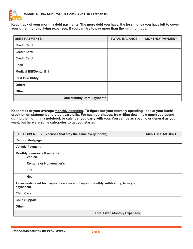

**Keep track of your monthly debt payments. The more debt you have, the less money you have left to cover your other monthly living expenses. If you can, try to pay more than the minimum due.** 

| <b>DEBT PAYMENTS</b>               | <b>TOTAL BALANCE</b> | <b>MONTHLY PAYMENT</b> |
|------------------------------------|----------------------|------------------------|
| <b>Credit Card:</b>                |                      |                        |
| <b>Credit Card:</b>                |                      |                        |
| <b>Credit Card:</b>                |                      |                        |
| Loan                               |                      |                        |
| <b>Medical Bill/Dental Bill</b>    |                      |                        |
| <b>Past Due Utility</b>            |                      |                        |
| Other:                             |                      |                        |
| Other:                             |                      |                        |
| <b>Total Monthly Debt Payments</b> |                      |                        |

**Keep track of your average monthly spending. To figure out your monthly spending, look at your bank/ credit union statement and credit card bills. For cash purchases, try writing down how much you spend during the month in a notebook or calendar you carry with you. You can be as specific or general as you want, but here are some categories to get you started.** 

| FIXED EXPENSES (Expenses that stay the same every month)                                  | <b>MONTHLY AMOUNT</b> |
|-------------------------------------------------------------------------------------------|-----------------------|
| <b>Rent or Mortgage</b>                                                                   |                       |
| <b>Vehicle Payment</b>                                                                    |                       |
| <b>Monthly Insurance Payments:</b><br><b>Vehicle</b>                                      |                       |
| <b>Renter's or Homeowner's</b>                                                            |                       |
| Life                                                                                      |                       |
| <b>Health</b>                                                                             |                       |
| Taxes (estimated tax payments above and beyond monthly withholding from your<br>paycheck) |                       |
| <b>Child Care</b>                                                                         |                       |
| <b>Child Support</b>                                                                      |                       |
| <b>Other</b>                                                                              |                       |
| <b>Total Fixed Monthly Expenses</b>                                                       |                       |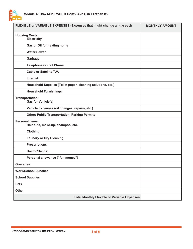

| FLEXIBLE or VARIABLE EXPENSES (Expenses that might change a little each | <b>MONTHLY AMOUNT</b> |
|-------------------------------------------------------------------------|-----------------------|
| <b>Housing Costs:</b><br><b>Electricity</b>                             |                       |
| Gas or Oil for heating home                                             |                       |
| <b>Water/Sewer</b>                                                      |                       |
| Garbage                                                                 |                       |
| <b>Telephone or Cell Phone</b>                                          |                       |
| <b>Cable or Satellite T.V.</b>                                          |                       |
| Internet                                                                |                       |
| Household Supplies (Toilet paper, cleaning solutions, etc.)             |                       |
| <b>Household Furnishings</b>                                            |                       |
| <b>Transportation:</b><br><b>Gas for Vehicle(s)</b>                     |                       |
| Vehicle Expenses (oil changes, repairs, etc.)                           |                       |
| <b>Other: Public Transportation, Parking Permits</b>                    |                       |
| <b>Personal Items:</b><br>Hair cuts, make-up, shampoo, etc.             |                       |
| <b>Clothing</b>                                                         |                       |
| <b>Laundry or Dry Cleaning</b>                                          |                       |
| <b>Prescriptions</b>                                                    |                       |
| <b>Doctor/Dentist</b>                                                   |                       |
| Personal allowance ("fun money")                                        |                       |
| <b>Groceries</b>                                                        |                       |
| <b>Work/School Lunches</b>                                              |                       |
| <b>School Supplies</b>                                                  |                       |
| <b>Pets</b>                                                             |                       |
| <b>Other</b>                                                            |                       |
| <b>Total Monthly Flexible or Variable Expenses</b>                      |                       |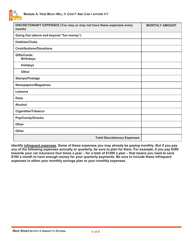

| DISCRETIONARY EXPENSES (You may or may not have these expenses every<br>month) | <b>MONTHLY AMOUNT</b> |
|--------------------------------------------------------------------------------|-----------------------|
| Going Out (above and beyond "fun money")                                       |                       |
| <b>Hobbies/Clubs</b>                                                           |                       |
| <b>Contributions/Donations</b>                                                 |                       |
| Gifts/Cards:<br><b>Birthdays</b>                                               |                       |
| <b>Holidays</b>                                                                |                       |
| <b>Other</b>                                                                   |                       |
| <b>Stamps/Postage</b>                                                          |                       |
| Newspapers/Magazines                                                           |                       |
| <b>Lessons</b>                                                                 |                       |
| <b>Dues</b>                                                                    |                       |
| <b>Alcohol</b>                                                                 |                       |
| Cigarettes/Tobacco                                                             |                       |
| Pop/Candy/Snacks                                                               |                       |
| <b>Other</b>                                                                   |                       |
| <b>Other</b>                                                                   |                       |
| <b>Total Discretionary Expenses</b>                                            |                       |

**Identify infrequent expenses. Some of these expenses you may already be paying monthly. But if you pay any of the following expenses annually or quarterly, be sure to plan for them. For example, if you pay \$300 towards your car insurance four times a year – for a total of \$1200 a year – that means you need to save \$100 a month to have enough money for your quarterly payments. Be sure to include these infrequent expenses in either your monthly savings plan or your monthly expenses.**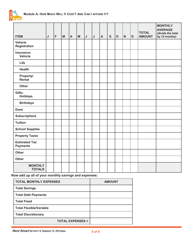

| <b>ITEM</b>                             | J | F | $\mathsf{M}% _{T}=\mathsf{M}_{T}\!\left( a,b\right) ,\ \mathsf{M}_{T}=\mathsf{M}_{T}$ | $\blacktriangle$ | $\mathsf{M}$ | $\mathsf J$ | IJ | $\boldsymbol{\mathsf{A}}$ | ${\mathsf S}$ | $\overline{O}$ | $\mathsf{N}$ | D | <b>TOTAL</b><br><b>AMOUNT</b> | <b>MONTHLY</b><br><b>AVERAGE</b><br>(divide the total<br>by 12 months) |
|-----------------------------------------|---|---|---------------------------------------------------------------------------------------|------------------|--------------|-------------|----|---------------------------|---------------|----------------|--------------|---|-------------------------------|------------------------------------------------------------------------|
| <b>Vehicle</b><br><b>Registration</b>   |   |   |                                                                                       |                  |              |             |    |                           |               |                |              |   |                               |                                                                        |
| Insurance:<br><b>Vehicle</b>            |   |   |                                                                                       |                  |              |             |    |                           |               |                |              |   |                               |                                                                        |
| Life                                    |   |   |                                                                                       |                  |              |             |    |                           |               |                |              |   |                               |                                                                        |
| <b>Health</b>                           |   |   |                                                                                       |                  |              |             |    |                           |               |                |              |   |                               |                                                                        |
| Property/<br>Rental                     |   |   |                                                                                       |                  |              |             |    |                           |               |                |              |   |                               |                                                                        |
| <b>Other</b>                            |   |   |                                                                                       |                  |              |             |    |                           |               |                |              |   |                               |                                                                        |
| Gifts:<br><b>Holidays</b>               |   |   |                                                                                       |                  |              |             |    |                           |               |                |              |   |                               |                                                                        |
| <b>Birthdays</b>                        |   |   |                                                                                       |                  |              |             |    |                           |               |                |              |   |                               |                                                                        |
| <b>Dues</b>                             |   |   |                                                                                       |                  |              |             |    |                           |               |                |              |   |                               |                                                                        |
| <b>Subscriptions</b>                    |   |   |                                                                                       |                  |              |             |    |                           |               |                |              |   |                               |                                                                        |
| <b>Tuition</b>                          |   |   |                                                                                       |                  |              |             |    |                           |               |                |              |   |                               |                                                                        |
| <b>School Supplies</b>                  |   |   |                                                                                       |                  |              |             |    |                           |               |                |              |   |                               |                                                                        |
| <b>Property Taxes</b>                   |   |   |                                                                                       |                  |              |             |    |                           |               |                |              |   |                               |                                                                        |
| <b>Estimated Tax</b><br><b>Payments</b> |   |   |                                                                                       |                  |              |             |    |                           |               |                |              |   |                               |                                                                        |
| <b>Other</b>                            |   |   |                                                                                       |                  |              |             |    |                           |               |                |              |   |                               |                                                                        |
| <b>Other</b>                            |   |   |                                                                                       |                  |              |             |    |                           |               |                |              |   |                               |                                                                        |
| <b>MONTHLY</b><br><b>TOTALS</b>         |   |   |                                                                                       |                  |              |             |    |                           |               |                |              |   |                               |                                                                        |

**Now add up all of your monthly savings and expenses:**

| <b>TOTAL MONTHLY EXPENSES</b>  | <b>AMOUNT</b> |
|--------------------------------|---------------|
| <b>Total Savings</b>           |               |
| <b>Total Debt Payments</b>     |               |
| <b>Total Fixed</b>             |               |
| <b>Total Flexible/Variable</b> |               |
| <b>Total Discretionary</b>     |               |
| <b>TOTAL EXPENSES =</b>        |               |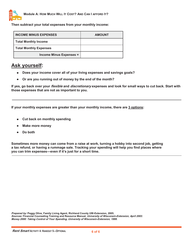

**Then subtract your total expenses from your monthly income:**

| I INCOME MINUS EXPENSES        | <b>AMOUNT</b> |
|--------------------------------|---------------|
| Total Monthly Income           |               |
| Total Monthly Expenses         |               |
| <b>Income Minus Expenses =</b> |               |

## **Ask yourself:**

- **Does your income cover all of your living expenses and savings goals?**   $\bullet$
- **Or are you running out of money by the end of the month?**   $\bullet$

**If yes, go back over your flexible and discretionary expenses and look for small ways to cut back. Start with those expenses that are not as important to you.** 

**If your monthly expenses are greater than your monthly income, there are 3 options:** 

- **Cut back on monthly spending**
- **Make more money**
- **Do both**   $\bullet$

**Sometimes more money can come from a raise at work, turning a hobby into second job, getting a tax refund, or having a rummage sale. Tracking your spending will help you find places where you can trim expenses—even if it's just for a short time.** 

**Prepared by: Peggy Olive, Family Living Agent, Richland County UW-Extension, 2005. Sources: Financial Counseling Training and Resource Manual, University of Wisconsin-Extension, April 2003. Money 2000: Taking Control of Your Spending, University of Wisconsin-Extension, 1999.**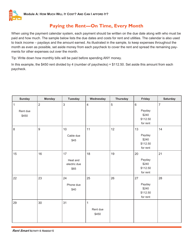# **Paying the Rent—On Time, Every Month**

When using the payment calendar system, each payment should be written on the due date along with who must be paid and how much. The sample below lists the due dates and costs for rent and utilities. The calendar is also used to track income – paydays and the amount earned. As illustrated in the sample, to keep expenses throughout the month as even as possible, set aside money from each paycheck to cover the rent and spread the remaining payments for other expenses out over the month.

Tip: Write down how monthly bills will be paid before spending ANY money.

In this example, the \$450 rent divided by 4 (number of paychecks) = \$112.50. Set aside this amount from each paycheck.

| <b>Sunday</b> | <b>Monday</b>  | <b>Tuesday</b> | Wednesday      | <b>Thursday</b> | Friday   | <b>Saturday</b> |
|---------------|----------------|----------------|----------------|-----------------|----------|-----------------|
| $\mathbf{1}$  | $\overline{2}$ | $\mathbf{3}$   | $\overline{4}$ | $\sqrt{5}$      | $6\,$    | $\overline{7}$  |
| Rent due      |                |                |                |                 | Payday   |                 |
| \$450         |                |                |                |                 | \$240    |                 |
|               |                |                |                |                 | \$112.50 |                 |
|               |                |                |                |                 | for rent |                 |
| $\,8\,$       | 9              | 10             | 11             | 12              | 13       | 14              |
|               |                | Cable due      |                |                 | Payday   |                 |
|               |                | \$45           |                |                 | \$240    |                 |
|               |                |                |                |                 | \$112.50 |                 |
|               |                |                |                |                 | for rent |                 |
| 15            | 16             | 17             | 18             | 19              | 20       | 21              |
|               |                | Heat and       |                |                 | Payday   |                 |
|               |                | electric due   |                |                 | \$240    |                 |
|               |                | \$65           |                |                 | \$112.50 |                 |
|               |                |                |                |                 | for rent |                 |
| 22            | 23             | 24             | 25             | 26              | 27       | 28              |
|               |                | Phone due      |                |                 | Payday   |                 |
|               |                | \$40           |                |                 | \$240    |                 |
|               |                |                |                |                 | \$112.50 |                 |
|               |                |                |                |                 | for rent |                 |
| 29            | 30             | 31             | $\mathbf{1}$   |                 |          |                 |
|               |                |                | Rent due       |                 |          |                 |
|               |                |                | \$450          |                 |          |                 |
|               |                |                |                |                 |          |                 |
|               |                |                |                |                 |          |                 |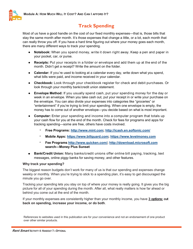

# **Track Spending**

Most of us have a good handle on the cost of our fixed monthly expenses—that is, those bills that stay the same month after month. It's those expenses that change a little, or a lot, each month that can really throw you off. If you have a hard time figuring out where your money goes each month, there are many different ways to track your spending.

- **Notebook:** When you spend money, write it down right away. Keep a pen and paper in your pocket, car, or purse.
- **Receipts:** Put your receipts in a folder or envelope and add them up at the end of the month. Didn't get a receipt? Write the amount on the folder.
- **Calendar:** If you're used to looking at a calendar every day, write down what you spend, what bills were paid, and income received in your calendar.
- **Checkbook:** Look through your checkbook register for check and debit purchases. Or look through your monthly bank/credit union statement.
- **Envelope Method:** If you usually spend cash, put your spending money for the day or week in an envelope. When you take cash out, put your receipt in or write your purchase on the envelope. You can also divide your expenses into categories like "groceries" or "entertainment" if you're trying to limit your spending. When one envelope is empty, the money has to come out of another envelope—you decide based on what is most important.
- **Computer:** Enter your spending and income into a computer program that totals up your cash flow for you at the end of the month. Check for fees for programs and apps for tracking spending—some are free, others have costs involved.
	- $\circ$ **Free Programs: http://www.mint.com; http://icash.en.softonic.com/**
	- $\circ$ **Mobile Apps: https://www.billguard.com; https://www.levelmoney.com**
	- $\circ$ **Fee Programs http://www.quicken.com/; http://download.microsoft.com search—Money Plus Sunset**
- **Bank/Credit Union:** Many banks/credit unions offer online bill paying, tracking, text messages, online piggy banks for saving money, and other features.

#### **Why track your spending?**

The biggest reason budgets don't work for many of us is that our spending and expenses change weekly or monthly. When you're trying to stick to a spending plan, it's easy to get discouraged the minute you go over.

Tracking your spending lets you stay on top of where your money is really going. It gives you the big picture for all of your spending during the month. After all, what really matters is how far ahead or behind you come out at the end of the month.

If your monthly expenses are consistently higher than your monthly income, you have **3 options: cut back on spending, increase your income, or do both**.

References to websites used in this publication are for your convenience and not an endorsement of one product over other similar products.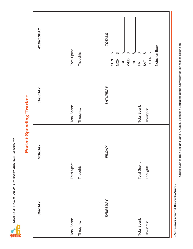**Module A: HOW MUCH WILL IT COST? AND CAN I AFFORD IT?**  Module A: HOW MUCH WILL IT COST? AND CAN I AFFORD IT?



# Pocket Spending Tracker **Pocket Spending Tracker**

| <b>SUNDAY</b>                         | <b>MONDAY</b>                              | <b>TUESDAY</b>                        | <b>WEDNESDAY</b>                                                                                                                                                                                                                  |
|---------------------------------------|--------------------------------------------|---------------------------------------|-----------------------------------------------------------------------------------------------------------------------------------------------------------------------------------------------------------------------------------|
| Total Spent:<br>Thoughts:             | Total Spent:<br>Thoughts:                  | Total Spent:<br>Thoughts:             | Total Spent:<br>Thoughts:                                                                                                                                                                                                         |
| THURSDAY<br>Total Spent:<br>Thoughts: | <b>FRIDAY</b><br>Total Spent:<br>Thoughts: | SATURDAY<br>Total Spent:<br>Thoughts: | <b>TOTALS</b><br>Notes on Back<br>$\varphi$<br>$\qquad \qquad \varphi$<br>TOTAL <sub>\$</sub><br>$\varphi$<br>$FRI$ $\frac{6}{9}$<br>$\boldsymbol{\varphi}$<br>$\boldsymbol{\varphi}$<br>WED<br>THU<br>MON<br>TUE<br>$rac{2}{50}$ |
|                                       |                                            |                                       |                                                                                                                                                                                                                                   |

Rent Smart Activity 4: HANDOUT 8-OPTIONAL *Rent Smart* **ACTIVITY 4: HANDOUT 8—OPTIONAL**

Credit given to Beth Bell and Jane A. Gault, Extension Educators at the University of Tennessee Extension Credit given to Beth Bell and Jane A. Gault, Extension Educators at the University of Tennessee Extension